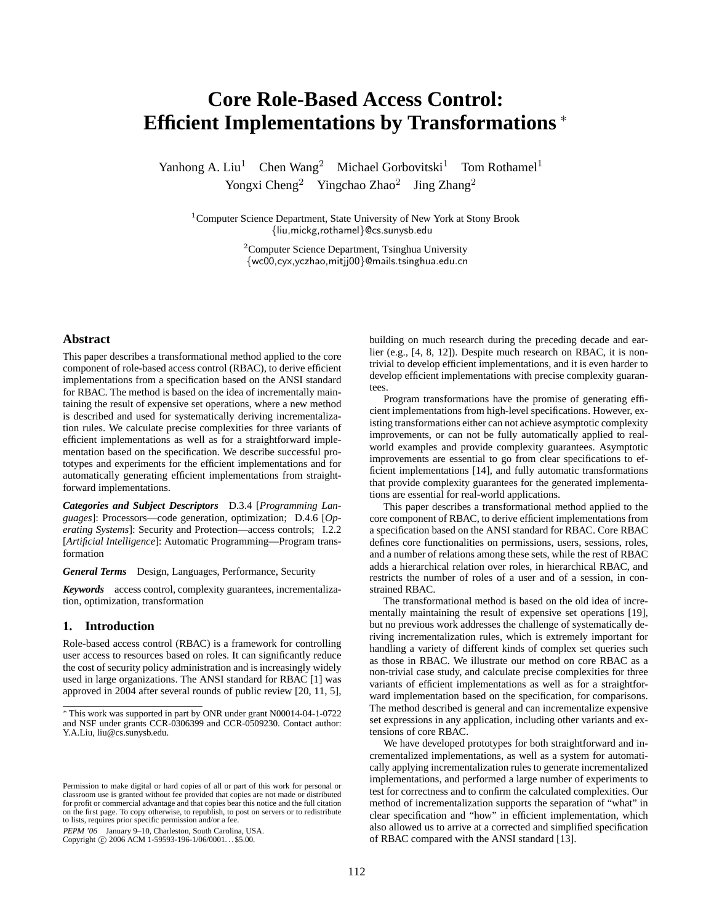# **Core Role-Based Access Control: Efficient Implementations by Transformations** <sup>∗</sup>

Yanhong A. Liu<sup>1</sup> Chen Wang<sup>2</sup> Michael Gorbovitski<sup>1</sup> Tom Rothamel<sup>1</sup> Yongxi Cheng<sup>2</sup> Yingchao Zhao<sup>2</sup> Jing Zhang<sup>2</sup>

<sup>1</sup>Computer Science Department, State University of New York at Stony Brook {liu,mickg,rothamel}@cs.sunysb.edu

> <sup>2</sup>Computer Science Department, Tsinghua University {wc00,cyx,yczhao,mitjj00}@mails.tsinghua.edu.cn

## **Abstract**

This paper describes a transformational method applied to the core component of role-based access control (RBAC), to derive efficient implementations from a specification based on the ANSI standard for RBAC. The method is based on the idea of incrementally maintaining the result of expensive set operations, where a new method is described and used for systematically deriving incrementalization rules. We calculate precise complexities for three variants of efficient implementations as well as for a straightforward implementation based on the specification. We describe successful prototypes and experiments for the efficient implementations and for automatically generating efficient implementations from straightforward implementations.

*Categories and Subject Descriptors* D.3.4 [*Programming Languages*]: Processors—code generation, optimization; D.4.6 [*Operating Systems*]: Security and Protection—access controls; I.2.2 [*Artificial Intelligence*]: Automatic Programming—Program transformation

*General Terms* Design, Languages, Performance, Security

*Keywords* access control, complexity guarantees, incrementalization, optimization, transformation

## **1. Introduction**

Role-based access control (RBAC) is a framework for controlling user access to resources based on roles. It can significantly reduce the cost of security policy administration and is increasingly widely used in large organizations. The ANSI standard for RBAC [1] was approved in 2004 after several rounds of public review [20, 11, 5],

PEPM '06 January 9–10, Charleston, South Carolina, USA.

Copyright © 2006 ACM 1-59593-196-1/06/0001... \$5.00.

building on much research during the preceding decade and earlier (e.g., [4, 8, 12]). Despite much research on RBAC, it is nontrivial to develop efficient implementations, and it is even harder to develop efficient implementations with precise complexity guarantees.

Program transformations have the promise of generating efficient implementations from high-level specifications. However, existing transformations either can not achieve asymptotic complexity improvements, or can not be fully automatically applied to realworld examples and provide complexity guarantees. Asymptotic improvements are essential to go from clear specifications to efficient implementations [14], and fully automatic transformations that provide complexity guarantees for the generated implementations are essential for real-world applications.

This paper describes a transformational method applied to the core component of RBAC, to derive efficient implementations from a specification based on the ANSI standard for RBAC. Core RBAC defines core functionalities on permissions, users, sessions, roles, and a number of relations among these sets, while the rest of RBAC adds a hierarchical relation over roles, in hierarchical RBAC, and restricts the number of roles of a user and of a session, in constrained RBAC.

The transformational method is based on the old idea of incrementally maintaining the result of expensive set operations [19], but no previous work addresses the challenge of systematically deriving incrementalization rules, which is extremely important for handling a variety of different kinds of complex set queries such as those in RBAC. We illustrate our method on core RBAC as a non-trivial case study, and calculate precise complexities for three variants of efficient implementations as well as for a straightforward implementation based on the specification, for comparisons. The method described is general and can incrementalize expensive set expressions in any application, including other variants and extensions of core RBAC.

We have developed prototypes for both straightforward and incrementalized implementations, as well as a system for automatically applying incrementalization rules to generate incrementalized implementations, and performed a large number of experiments to test for correctness and to confirm the calculated complexities. Our method of incrementalization supports the separation of "what" in clear specification and "how" in efficient implementation, which also allowed us to arrive at a corrected and simplified specification of RBAC compared with the ANSI standard [13].

<sup>∗</sup> This work was supported in part by ONR under grant N00014-04-1-0722 and NSF under grants CCR-0306399 and CCR-0509230. Contact author: Y.A.Liu, liu@cs.sunysb.edu.

Permission to make digital or hard copies of all or part of this work for personal or classroom use is granted without fee provided that copies are not made or distributed for profit or commercial advantage and that copies bear this notice and the full citation on the first page. To copy otherwise, to republish, to post on servers or to redistribute to lists, requires prior specific permission and/or a fee.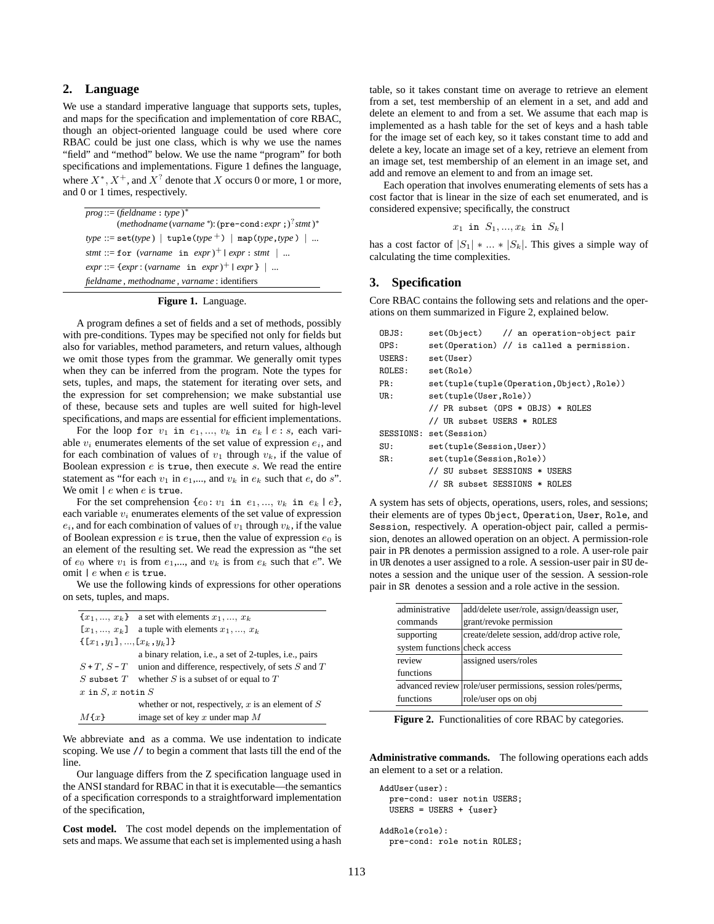# **2. Language**

We use a standard imperative language that supports sets, tuples, and maps for the specification and implementation of core RBAC, though an object-oriented language could be used where core RBAC could be just one class, which is why we use the names "field" and "method" below. We use the name "program" for both specifications and implementations. Figure 1 defines the language, where  $X^*$ ,  $X^+$ , and  $X^?$  denote that X occurs 0 or more, 1 or more, and 0 or 1 times, respectively.

| $prog ::= (field name : type)^*$                              |
|---------------------------------------------------------------|
| (methodname (varname *): $(\text{pre-cond}: expr; )^7$ stmt)* |
| $type ::= set(type)   tuple(type^+)   map(type,type)   $      |
| stmt ::= for (varname in expr) <sup>+</sup>   expr : stmt     |
| $expr ::= \{expr : (varname in expr)^+   expr\}$              |
| fieldname, methodname, varname: identifiers                   |

#### **Figure 1.** Language.

A program defines a set of fields and a set of methods, possibly with pre-conditions. Types may be specified not only for fields but also for variables, method parameters, and return values, although we omit those types from the grammar. We generally omit types when they can be inferred from the program. Note the types for sets, tuples, and maps, the statement for iterating over sets, and the expression for set comprehension; we make substantial use of these, because sets and tuples are well suited for high-level specifications, and maps are essential for efficient implementations.

For the loop for  $v_1$  in  $e_1, ..., v_k$  in  $e_k | e : s$ , each variable  $v_i$  enumerates elements of the set value of expression  $e_i$ , and for each combination of values of  $v_1$  through  $v_k$ , if the value of Boolean expression  $e$  is true, then execute  $s$ . We read the entire statement as "for each  $v_1$  in  $e_1$ ,..., and  $v_k$  in  $e_k$  such that  $e$ , do s". We omit  $\ell$  e when  $e$  is true.

For the set comprehension  $\{e_0: v_1$  in  $e_1, ..., v_k$  in  $e_k \mid e\},$ each variable  $v_i$  enumerates elements of the set value of expression  $e_i$ , and for each combination of values of  $v_1$  through  $v_k$ , if the value of Boolean expression  $e$  is true, then the value of expression  $e_0$  is an element of the resulting set. We read the expression as "the set of  $e_0$  where  $v_1$  is from  $e_1$ ,..., and  $v_k$  is from  $e_k$  such that  $e$ ". We omit | e when e is true.

We use the following kinds of expressions for other operations on sets, tuples, and maps.

|                            | ${x_1, , x_k}$ a set with elements $x_1, , x_k$                   |
|----------------------------|-------------------------------------------------------------------|
| $[x_1, , x_k]$             | a tuple with elements $x_1, , x_k$                                |
| $\{[x_1,y_1],,[x_k,y_k]\}$ |                                                                   |
|                            | a binary relation, i.e., a set of 2-tuples, i.e., pairs           |
|                            | $S+T$ , $S-T$ union and difference, respectively, of sets S and T |
| $S$ subset $T$             | whether S is a subset of or equal to $T$                          |
| x in $S$ , x notin $S$     |                                                                   |
|                            | whether or not, respectively, x is an element of $S$              |
| $M{x}$                     | image set of key $x$ under map $M$                                |

We abbreviate and as a comma. We use indentation to indicate scoping. We use // to begin a comment that lasts till the end of the line.

Our language differs from the Z specification language used in the ANSI standard for RBAC in that it is executable—the semantics of a specification corresponds to a straightforward implementation of the specification,

**Cost model.** The cost model depends on the implementation of sets and maps. We assume that each set is implemented using a hash

table, so it takes constant time on average to retrieve an element from a set, test membership of an element in a set, and add and delete an element to and from a set. We assume that each map is implemented as a hash table for the set of keys and a hash table for the image set of each key, so it takes constant time to add and delete a key, locate an image set of a key, retrieve an element from an image set, test membership of an element in an image set, and add and remove an element to and from an image set.

Each operation that involves enumerating elements of sets has a cost factor that is linear in the size of each set enumerated, and is considered expensive; specifically, the construct

$$
x_1 \text{ in } S_1, \ldots, x_k \text{ in } S_k
$$

has a cost factor of  $|S_1| * ... * |S_k|$ . This gives a simple way of calculating the time complexities.

## **3. Specification**

Core RBAC contains the following sets and relations and the operations on them summarized in Figure 2, explained below.

| OBJS:                            | set (Object) // an operation-object pair   |  |  |  |  |  |  |
|----------------------------------|--------------------------------------------|--|--|--|--|--|--|
| 0PS:                             | set (Operation) // is called a permission. |  |  |  |  |  |  |
| USERS:                           | set(User)                                  |  |  |  |  |  |  |
| ROLES:                           | set(Role)                                  |  |  |  |  |  |  |
| PR:                              | set(tuple(tuple(Operation, Object), Role)) |  |  |  |  |  |  |
| UR:                              | set(tuple(User, Role))                     |  |  |  |  |  |  |
|                                  | // PR subset (OPS * OBJS) * ROLES          |  |  |  |  |  |  |
|                                  | // UR subset USERS * ROLES                 |  |  |  |  |  |  |
|                                  | SESSIONS: set(Session)                     |  |  |  |  |  |  |
| SU:                              | set(tuple(Session, User))                  |  |  |  |  |  |  |
| set(tuple(Session, Role))<br>SR: |                                            |  |  |  |  |  |  |
|                                  | // SU subset SESSIONS * USERS              |  |  |  |  |  |  |
|                                  | // SR subset SESSIONS * ROLES              |  |  |  |  |  |  |

A system has sets of objects, operations, users, roles, and sessions; their elements are of types Object, Operation, User, Role, and Session, respectively. A operation-object pair, called a permission, denotes an allowed operation on an object. A permission-role pair in PR denotes a permission assigned to a role. A user-role pair in UR denotes a user assigned to a role. A session-user pair in SU denotes a session and the unique user of the session. A session-role pair in SR denotes a session and a role active in the session.

| administrative                | add/delete user/role, assign/deassign user,                 |
|-------------------------------|-------------------------------------------------------------|
| commands                      | grant/revoke permission                                     |
| supporting                    | create/delete session, add/drop active role,                |
| system functions check access |                                                             |
| review                        | assigned users/roles                                        |
| functions                     |                                                             |
|                               | advanced review role/user permissions, session roles/perms, |
| functions                     | role/user ops on obj                                        |

**Figure 2.** Functionalities of core RBAC by categories.

**Administrative commands.** The following operations each adds an element to a set or a relation.

```
AddUser(user):
 pre-cond: user notin USERS;
 USERS = USERS + {user}
```
AddRole(role): pre-cond: role notin ROLES;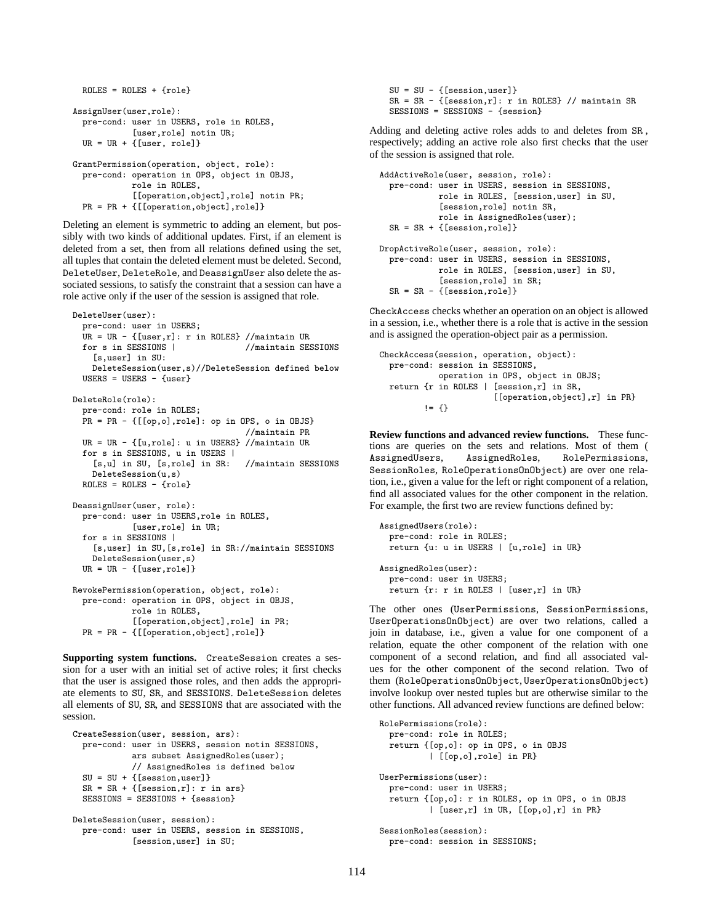```
ROLES = ROLES + \{role\}AssignUser(user,role):
  pre-cond: user in USERS, role in ROLES,
            [user,role] notin UR;
  UR = UR + \{[user, role]\}GrantPermission(operation, object, role):
  pre-cond: operation in OPS, object in OBJS,
            role in ROLES,
            [[operation,object],role] notin PR;
  PR = PR + {[[operation,object],role]}
```
Deleting an element is symmetric to adding an element, but possibly with two kinds of additional updates. First, if an element is deleted from a set, then from all relations defined using the set, all tuples that contain the deleted element must be deleted. Second, DeleteUser, DeleteRole, and DeassignUser also delete the associated sessions, to satisfy the constraint that a session can have a role active only if the user of the session is assigned that role.

```
DeleteUser(user):
  pre-cond: user in USERS;
  UR = UR - {[user,r]: r in ROLES} //maintain UR<br>for s in SESSIONS | //maintain SES
                                    //maintain SESSIONS
    [s,user] in SU:
    DeleteSession(user,s)//DeleteSession defined below
  USERS = USERS - {user}DeleteRole(role):
  pre-cond: role in ROLES;
  PR = PR - {[[op,o],role]: op in OPS, o in OBJS}
                                    //maintain PR
  UR = UR - {[u,role]: u in USERS} //maintain UR
  for s in SESSIONS, u in USERS |
    [s,u] in SU, [s,role] in SR: //maintain SESSIONS
    DeleteSession(u,s)
  ROLES = ROLES - froleDeassignUser(user, role):
  pre-cond: user in USERS,role in ROLES,
            [user,role] in UR;
  for s in SESSIONS |
    [s,user] in SU,[s,role] in SR://maintain SESSIONS
    DeleteSession(user,s)
  UR = UR - \{[user, role]\}RevokePermission(operation, object, role):
  pre-cond: operation in OPS, object in OBJS,
            role in ROLES,
            [[operation,object],role] in PR;
  PR = PR - {[[operation,object],role]}
```
**Supporting system functions.** CreateSession creates a session for a user with an initial set of active roles; it first checks that the user is assigned those roles, and then adds the appropriate elements to SU, SR, and SESSIONS. DeleteSession deletes all elements of SU, SR, and SESSIONS that are associated with the session.

```
CreateSession(user, session, ars):
  pre-cond: user in USERS, session notin SESSIONS,
            ars subset AssignedRoles(user);
            // AssignedRoles is defined below
  SU = SU + {[session,user]}SR = SR + \{[session,r]: r inars\}SESSIONS = SESSIONS + {session}
DeleteSession(user, session):
  pre-cond: user in USERS, session in SESSIONS,
            [session,user] in SU;
```
 $SU = SU - \{[session,user]\}$  $SR = SR - \{[session,r]: r in ROLES\}$  // maintain SR SESSIONS = SESSIONS - {session}

Adding and deleting active roles adds to and deletes from SR , respectively; adding an active role also first checks that the user of the session is assigned that role.

```
AddActiveRole(user, session, role):
 pre-cond: user in USERS, session in SESSIONS,
            role in ROLES, [session,user] in SU,
            [session,role] notin SR,
            role in AssignedRoles(user);
 SR = SR + \{[session,role]\}DropActiveRole(user, session, role):
 pre-cond: user in USERS, session in SESSIONS,
            role in ROLES, [session,user] in SU,
            [session,role] in SR;
 SR = SR - {[session,role]}
```
CheckAccess checks whether an operation on an object is allowed in a session, i.e., whether there is a role that is active in the session and is assigned the operation-object pair as a permission.

```
CheckAccess(session, operation, object):
 pre-cond: session in SESSIONS,
            operation in OPS, object in OBJS;
 return {r in ROLES | [session,r] in SR,
                       [[operation,object],r] in PR}
         != 5
```
**Review functions and advanced review functions.** These functions are queries on the sets and relations. Most of them ( AssignedUsers, AssignedRoles, RolePermissions, SessionRoles, RoleOperationsOnObject) are over one relation, i.e., given a value for the left or right component of a relation, find all associated values for the other component in the relation. For example, the first two are review functions defined by:

```
AssignedUsers(role):
 pre-cond: role in ROLES;
 return {u: u in USERS | [u,role] in UR}
AssignedRoles(user):
 pre-cond: user in USERS;
 return {r: r in ROLES | [user,r] in UR}
```
The other ones (UserPermissions, SessionPermissions, UserOperationsOnObject) are over two relations, called a join in database, i.e., given a value for one component of a relation, equate the other component of the relation with one component of a second relation, and find all associated values for the other component of the second relation. Two of them (RoleOperationsOnObject, UserOperationsOnObject) involve lookup over nested tuples but are otherwise similar to the other functions. All advanced review functions are defined below:

```
RolePermissions(role):
  pre-cond: role in ROLES;
  return {[op,o]: op in OPS, o in OBJS
          | [[op,o],role] in PR}
UserPermissions(user):
  pre-cond: user in USERS;
 return {[op,o]: r in ROLES, op in OPS, o in OBJS
          | [user,r] in UR, [[op,o],r] in PR}
SessionRoles(session):
```
pre-cond: session in SESSIONS;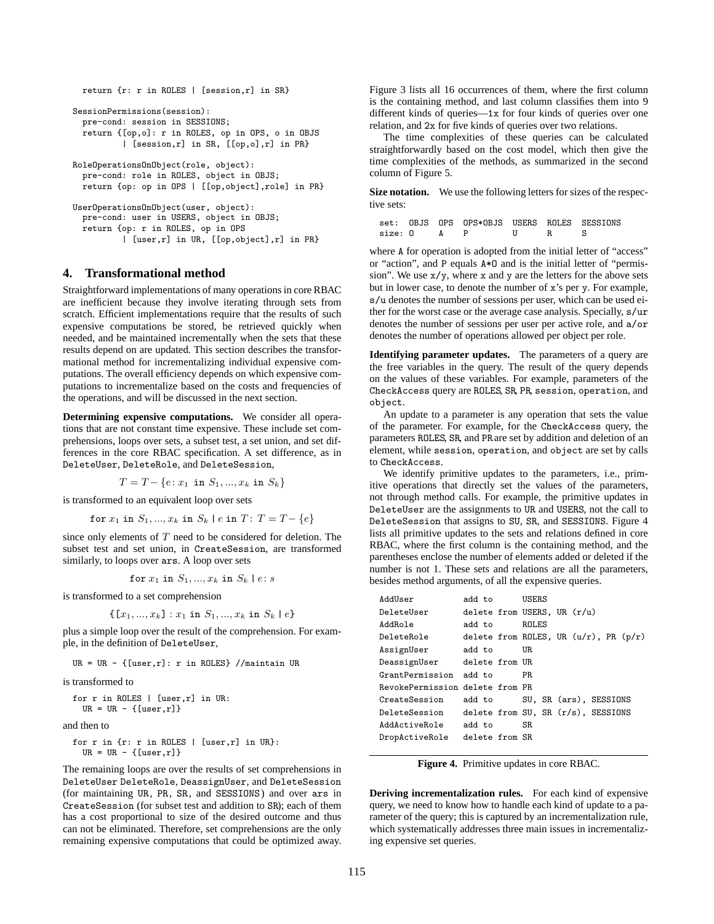```
return {r: r in ROLES | [session,r] in SR}
SessionPermissions(session):
 pre-cond: session in SESSIONS;
 return {[op,o]: r in ROLES, op in OPS, o in OBJS
          | [session,r] in SR, [[op,o],r] in PR}
RoleOperationsOnObject(role, object):
  pre-cond: role in ROLES, object in OBJS;
 return {op: op in OPS | [[op,object],role] in PR}
UserOperationsOnObject(user, object):
 pre-cond: user in USERS, object in OBJS;
  return {op: r in ROLES, op in OPS
```
| [user,r] in UR, [[op,object],r] in PR}

#### **4. Transformational method**

Straightforward implementations of many operations in core RBAC are inefficient because they involve iterating through sets from scratch. Efficient implementations require that the results of such expensive computations be stored, be retrieved quickly when needed, and be maintained incrementally when the sets that these results depend on are updated. This section describes the transformational method for incrementalizing individual expensive computations. The overall efficiency depends on which expensive computations to incrementalize based on the costs and frequencies of the operations, and will be discussed in the next section.

**Determining expensive computations.** We consider all operations that are not constant time expensive. These include set comprehensions, loops over sets, a subset test, a set union, and set differences in the core RBAC specification. A set difference, as in DeleteUser, DeleteRole, and DeleteSession,

 $T = T - \{e : x_1 \text{ in } S_1, ..., x_k \text{ in } S_k\}$ 

is transformed to an equivalent loop over sets

for  $x_1$  in  $S_1, ..., x_k$  in  $S_k$  | e in  $T: T = T - \{e\}$ 

since only elements of  $T$  need to be considered for deletion. The subset test and set union, in CreateSession, are transformed similarly, to loops over ars. A loop over sets

$$
\texttt{for } x_1 \texttt{ in } S_1, ..., x_k \texttt{ in } S_k \mid e \colon s
$$

is transformed to a set comprehension

$$
\{[x_1, ..., x_k] : x_1 \text{ in } S_1, ..., x_k \text{ in } S_k \mid e\}
$$

plus a simple loop over the result of the comprehension. For example, in the definition of DeleteUser,

 $UR = UR - \{[user, r]: r in ROLES\}$  //maintain UR

is transformed to

|  |                          | for $r$ in ROLES   [user, $r$ ] in UR: |  |
|--|--------------------------|----------------------------------------|--|
|  | UR = UR - $\{[user,r]\}$ |                                        |  |

and then to

```
for r in {r: r in ROLES | [user,r] in UR}:
  UR = UR - \{[user, r]\}
```
The remaining loops are over the results of set comprehensions in DeleteUser DeleteRole, DeassignUser, and DeleteSession (for maintaining UR, PR, SR, and SESSIONS) and over ars in CreateSession (for subset test and addition to SR); each of them has a cost proportional to size of the desired outcome and thus can not be eliminated. Therefore, set comprehensions are the only remaining expensive computations that could be optimized away.

Figure 3 lists all 16 occurrences of them, where the first column is the containing method, and last column classifies them into 9 different kinds of queries—1x for four kinds of queries over one relation, and 2x for five kinds of queries over two relations.

The time complexities of these queries can be calculated straightforwardly based on the cost model, which then give the time complexities of the methods, as summarized in the second column of Figure 5.

**Size notation.** We use the following letters for sizes of the respective sets:

|             | set: OBJS OPS OPS*OBJS USERS ROLES SESSIONS |  |  |
|-------------|---------------------------------------------|--|--|
| size: 0 A P |                                             |  |  |

where A for operation is adopted from the initial letter of "access" or "action", and P equals A\*O and is the initial letter of "permission". We use x/y, where x and y are the letters for the above sets but in lower case, to denote the number of x's per y. For example, s/u denotes the number of sessions per user, which can be used either for the worst case or the average case analysis. Specially, s/ur denotes the number of sessions per user per active role, and a/or denotes the number of operations allowed per object per role.

**Identifying parameter updates.** The parameters of a query are the free variables in the query. The result of the query depends on the values of these variables. For example, parameters of the CheckAccess query are ROLES, SR, PR, session, operation, and object.

An update to a parameter is any operation that sets the value of the parameter. For example, for the CheckAccess query, the parameters ROLES, SR, and PR are set by addition and deletion of an element, while session, operation, and object are set by calls to CheckAccess.

We identify primitive updates to the parameters, i.e., primitive operations that directly set the values of the parameters, not through method calls. For example, the primitive updates in DeleteUser are the assignments to UR and USERS, not the call to DeleteSession that assigns to SU, SR, and SESSIONS. Figure 4 lists all primitive updates to the sets and relations defined in core RBAC, where the first column is the containing method, and the parentheses enclose the number of elements added or deleted if the number is not 1. These sets and relations are all the parameters, besides method arguments, of all the expensive queries.

| AddUser                         | add to         | USERS |                                            |
|---------------------------------|----------------|-------|--------------------------------------------|
| DeleteUser                      |                |       | delete from USERS, UR $(r/u)$              |
| AddRole                         | add to         | ROLES |                                            |
| DeleteRole                      |                |       | delete from ROLES, UR $(u/r)$ , PR $(p/r)$ |
| AssignUser                      | add to         | UR.   |                                            |
| DeassignUser delete from UR     |                |       |                                            |
| GrantPermission add to          |                | PR.   |                                            |
| RevokePermission delete from PR |                |       |                                            |
| CreateSession                   | add to         |       | SU, SR (ars), SESSIONS                     |
| DeleteSession                   |                |       | delete from SU, SR $(r/s)$ , SESSIONS      |
| AddActiveRole                   | add to         | SR.   |                                            |
| DropActiveRole                  | delete from SR |       |                                            |

**Figure 4.** Primitive updates in core RBAC.

**Deriving incrementalization rules.** For each kind of expensive query, we need to know how to handle each kind of update to a parameter of the query; this is captured by an incrementalization rule, which systematically addresses three main issues in incrementalizing expensive set queries.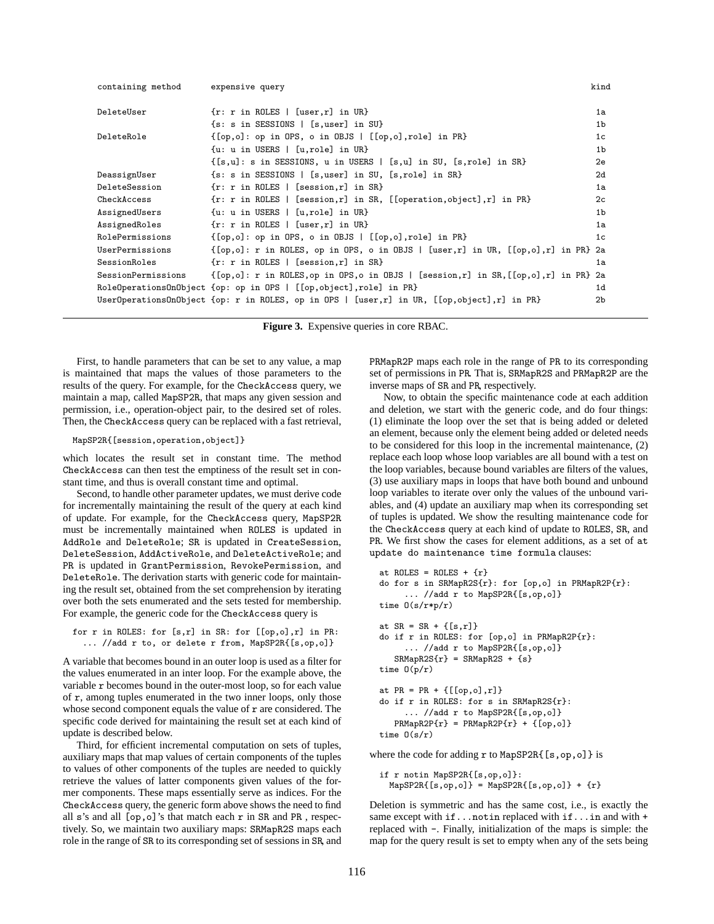| containing method  | expensive query                                                                                                                                                               | kind           |
|--------------------|-------------------------------------------------------------------------------------------------------------------------------------------------------------------------------|----------------|
| DeleteUser         | $\{r: r in ROLES \mid [user, r] in UR\}$                                                                                                                                      | 1a             |
|                    | $\{s: s in SESSIONS \mid [s, user] in SU\}$                                                                                                                                   | 1 <sub>b</sub> |
| DeleteRole         | $\{[\text{op},\text{o}]: \text{op in OPS}, \text{o in OBJS}   [[\text{op},\text{o}],\text{role}] \text{ in PR}\}\$                                                            | 1 <sub>c</sub> |
|                    | $\{u: u in \t{USERS} \mid [u, role] in \t{UR}\}\$                                                                                                                             | 1 <sub>b</sub> |
|                    | $\{[s,u]: s$ in SESSIONS, u in USERS $  [s,u]$ in SU, $[s,role]$ in SR}                                                                                                       | 2e             |
| DeassignUser       | $\{s: s \in \mathbb{S}\}$ sessions   [s, user] in SU, [s, role] in SR}                                                                                                        | 2d             |
| DeleteSession      | $\{r: r in ROLES \mid [session,r] in SR\}$                                                                                                                                    | 1a             |
| CheckAccess        | $\{r: r \in \mathbb{R} \mid \text{Eession}, r\}$ in SR, $[\text{operation}, \text{object}], r]$ in PR}                                                                        | 2 <sub>c</sub> |
| AssignedUsers      | $\{u: u in \text{ USERS} \mid [u, role] in \text{ UR}\}\$                                                                                                                     | 1 <sub>b</sub> |
| AssignedRoles      | $\{r: r in ROLES \mid [user, r] in UR\}$                                                                                                                                      | 1a             |
| RolePermissions    | {[op,o]: op in OPS, o in OBJS   [[op,o],role] in PR}                                                                                                                          | 1 <sub>c</sub> |
| UserPermissions    | $\{[\text{op},\text{ol}] : r \text{ in ROLES}, \text{op in OPS}, \text{o in OBS} \mid [\text{user},r] \text{ in UR}, \; [\text{op},\text{ol}],r] \text{ in PR} \}$ 2a         |                |
| SessionRoles       | $\{r: r in ROLES \mid [session,r] in SR\}$                                                                                                                                    | 1a             |
| SessionPermissions | $\{[\text{op},\text{o}]: r \text{ in ROLES}, \text{op in OPS}, \text{o in OBSI} \mid [\text{session}, r] \text{ in SR}, \{[\text{op},\text{o}], r\} \text{ in PR} \text{ 2a}$ |                |
|                    | RoleOperationsOnObject {op: op in OPS   [[op,object], role] in PR}                                                                                                            | 1d             |
|                    | UserOperationsOnObject {op: r in ROLES, op in OPS   [user,r] in UR, [[op,object],r] in PR}                                                                                    | 2b             |
|                    |                                                                                                                                                                               |                |

**Figure 3.** Expensive queries in core RBAC.

First, to handle parameters that can be set to any value, a map is maintained that maps the values of those parameters to the results of the query. For example, for the CheckAccess query, we maintain a map, called MapSP2R, that maps any given session and permission, i.e., operation-object pair, to the desired set of roles. Then, the CheckAccess query can be replaced with a fast retrieval,

#### MapSP2R{[session,operation,object]}

which locates the result set in constant time. The method CheckAccess can then test the emptiness of the result set in constant time, and thus is overall constant time and optimal.

Second, to handle other parameter updates, we must derive code for incrementally maintaining the result of the query at each kind of update. For example, for the CheckAccess query, MapSP2R must be incrementally maintained when ROLES is updated in AddRole and DeleteRole; SR is updated in CreateSession, DeleteSession, AddActiveRole, and DeleteActiveRole; and PR is updated in GrantPermission, RevokePermission, and DeleteRole. The derivation starts with generic code for maintaining the result set, obtained from the set comprehension by iterating over both the sets enumerated and the sets tested for membership. For example, the generic code for the CheckAccess query is

for r in ROLES: for [s,r] in SR: for [[op,o],r] in PR: ... //add r to, or delete r from, MapSP2R{[s,op,o]}

A variable that becomes bound in an outer loop is used as a filter for the values enumerated in an inter loop. For the example above, the variable r becomes bound in the outer-most loop, so for each value of r, among tuples enumerated in the two inner loops, only those whose second component equals the value of  $r$  are considered. The specific code derived for maintaining the result set at each kind of update is described below.

Third, for efficient incremental computation on sets of tuples, auxiliary maps that map values of certain components of the tuples to values of other components of the tuples are needed to quickly retrieve the values of latter components given values of the former components. These maps essentially serve as indices. For the CheckAccess query, the generic form above shows the need to find all s's and all [op,o]'s that match each r in SR and PR , respectively. So, we maintain two auxiliary maps: SRMapR2S maps each role in the range of SR to its corresponding set of sessions in SR, and PRMapR2P maps each role in the range of PR to its corresponding set of permissions in PR. That is, SRMapR2S and PRMapR2P are the inverse maps of SR and PR, respectively.

Now, to obtain the specific maintenance code at each addition and deletion, we start with the generic code, and do four things: (1) eliminate the loop over the set that is being added or deleted an element, because only the element being added or deleted needs to be considered for this loop in the incremental maintenance, (2) replace each loop whose loop variables are all bound with a test on the loop variables, because bound variables are filters of the values, (3) use auxiliary maps in loops that have both bound and unbound loop variables to iterate over only the values of the unbound variables, and (4) update an auxiliary map when its corresponding set of tuples is updated. We show the resulting maintenance code for the CheckAccess query at each kind of update to ROLES, SR, and PR. We first show the cases for element additions, as a set of at update do maintenance time formula clauses:

```
at ROLES = ROLES + {r}do for s in SRMapR2S{r}: for [op,o] in PRMapR2P{r}:
     ... //add r to MapSP2R{[s,op,o]}
time O(s/r*p/r)
at SR = SR + \{ [s,r] \}do if r in ROLES: for [op,o] in PRMapR2P{r}:
     ... //add r to MapSP2R{[s,op,o]}
   SRMapR2S{r} = SRMapR2S + {s}time O(p/r)
at PR = PR + \{[\lceil op, o \rceil, r] \}do if r in ROLES: for s in SRMapR2S{r}:
     ... //add r to MapSP2R{[s,op,o]}
   PRMapR2P{r} = PRMapR2P{r} + {[op,o]}time O(s/r)
```
where the code for adding  $r$  to MapSP2R $\{[s, op, o]\}$  is

```
if r notin MapSP2R{[s,op,o]}:
  MapSP2R[{s, op, o]} = MapSP2R[{s, op, o]} + {r}
```
Deletion is symmetric and has the same cost, i.e., is exactly the same except with if...notin replaced with if...in and with + replaced with -. Finally, initialization of the maps is simple: the map for the query result is set to empty when any of the sets being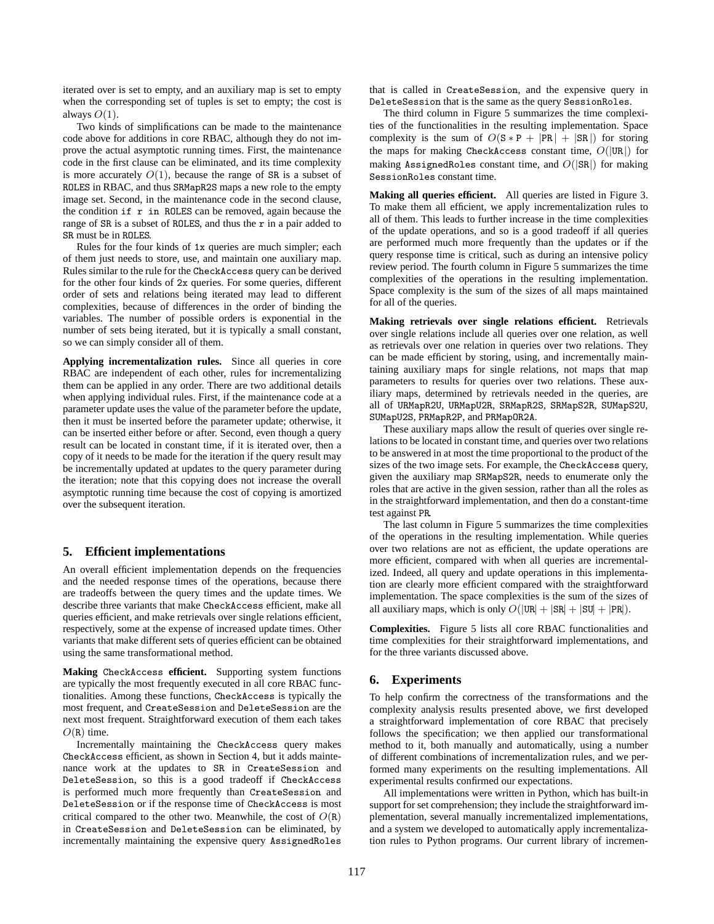iterated over is set to empty, and an auxiliary map is set to empty when the corresponding set of tuples is set to empty; the cost is always  $O(1)$ .

Two kinds of simplifications can be made to the maintenance code above for additions in core RBAC, although they do not improve the actual asymptotic running times. First, the maintenance code in the first clause can be eliminated, and its time complexity is more accurately  $O(1)$ , because the range of SR is a subset of ROLES in RBAC, and thus SRMapR2S maps a new role to the empty image set. Second, in the maintenance code in the second clause, the condition  $if r in ROLES can be removed, again because the$ range of SR is a subset of ROLES, and thus the r in a pair added to SR must be in ROLES.

Rules for the four kinds of 1x queries are much simpler; each of them just needs to store, use, and maintain one auxiliary map. Rules similar to the rule for the CheckAccess query can be derived for the other four kinds of 2x queries. For some queries, different order of sets and relations being iterated may lead to different complexities, because of differences in the order of binding the variables. The number of possible orders is exponential in the number of sets being iterated, but it is typically a small constant, so we can simply consider all of them.

**Applying incrementalization rules.** Since all queries in core RBAC are independent of each other, rules for incrementalizing them can be applied in any order. There are two additional details when applying individual rules. First, if the maintenance code at a parameter update uses the value of the parameter before the update, then it must be inserted before the parameter update; otherwise, it can be inserted either before or after. Second, even though a query result can be located in constant time, if it is iterated over, then a copy of it needs to be made for the iteration if the query result may be incrementally updated at updates to the query parameter during the iteration; note that this copying does not increase the overall asymptotic running time because the cost of copying is amortized over the subsequent iteration.

## **5. Efficient implementations**

An overall efficient implementation depends on the frequencies and the needed response times of the operations, because there are tradeoffs between the query times and the update times. We describe three variants that make CheckAccess efficient, make all queries efficient, and make retrievals over single relations efficient, respectively, some at the expense of increased update times. Other variants that make different sets of queries efficient can be obtained using the same transformational method.

**Making** CheckAccess **efficient.** Supporting system functions are typically the most frequently executed in all core RBAC functionalities. Among these functions, CheckAccess is typically the most frequent, and CreateSession and DeleteSession are the next most frequent. Straightforward execution of them each takes  $O(R)$  time.

Incrementally maintaining the CheckAccess query makes CheckAccess efficient, as shown in Section 4, but it adds maintenance work at the updates to SR in CreateSession and DeleteSession, so this is a good tradeoff if CheckAccess is performed much more frequently than CreateSession and DeleteSession or if the response time of CheckAccess is most critical compared to the other two. Meanwhile, the cost of  $O(R)$ in CreateSession and DeleteSession can be eliminated, by incrementally maintaining the expensive query AssignedRoles that is called in CreateSession, and the expensive query in DeleteSession that is the same as the query SessionRoles.

The third column in Figure 5 summarizes the time complexities of the functionalities in the resulting implementation. Space complexity is the sum of  $O(S * P + |PR| + |SR|)$  for storing the maps for making CheckAccess constant time,  $O(|UR|)$  for making AssignedRoles constant time, and  $O(|SR|)$  for making SessionRoles constant time.

**Making all queries efficient.** All queries are listed in Figure 3. To make them all efficient, we apply incrementalization rules to all of them. This leads to further increase in the time complexities of the update operations, and so is a good tradeoff if all queries are performed much more frequently than the updates or if the query response time is critical, such as during an intensive policy review period. The fourth column in Figure 5 summarizes the time complexities of the operations in the resulting implementation. Space complexity is the sum of the sizes of all maps maintained for all of the queries.

**Making retrievals over single relations efficient.** Retrievals over single relations include all queries over one relation, as well as retrievals over one relation in queries over two relations. They can be made efficient by storing, using, and incrementally maintaining auxiliary maps for single relations, not maps that map parameters to results for queries over two relations. These auxiliary maps, determined by retrievals needed in the queries, are all of URMapR2U, URMapU2R, SRMapR2S, SRMapS2R, SUMapS2U, SUMapU2S, PRMapR2P, and PRMapOR2A.

These auxiliary maps allow the result of queries over single relations to be located in constant time, and queries over two relations to be answered in at most the time proportional to the product of the sizes of the two image sets. For example, the CheckAccess query, given the auxiliary map SRMapS2R, needs to enumerate only the roles that are active in the given session, rather than all the roles as in the straightforward implementation, and then do a constant-time test against PR.

The last column in Figure 5 summarizes the time complexities of the operations in the resulting implementation. While queries over two relations are not as efficient, the update operations are more efficient, compared with when all queries are incrementalized. Indeed, all query and update operations in this implementation are clearly more efficient compared with the straightforward implementation. The space complexities is the sum of the sizes of all auxiliary maps, which is only  $O(|\text{UR}| + |\text{SR}| + |\text{SU}| + |\text{PR}|)$ .

**Complexities.** Figure 5 lists all core RBAC functionalities and time complexities for their straightforward implementations, and for the three variants discussed above.

### **6. Experiments**

To help confirm the correctness of the transformations and the complexity analysis results presented above, we first developed a straightforward implementation of core RBAC that precisely follows the specification; we then applied our transformational method to it, both manually and automatically, using a number of different combinations of incrementalization rules, and we performed many experiments on the resulting implementations. All experimental results confirmed our expectations.

All implementations were written in Python, which has built-in support for set comprehension; they include the straightforward implementation, several manually incrementalized implementations, and a system we developed to automatically apply incrementalization rules to Python programs. Our current library of incremen-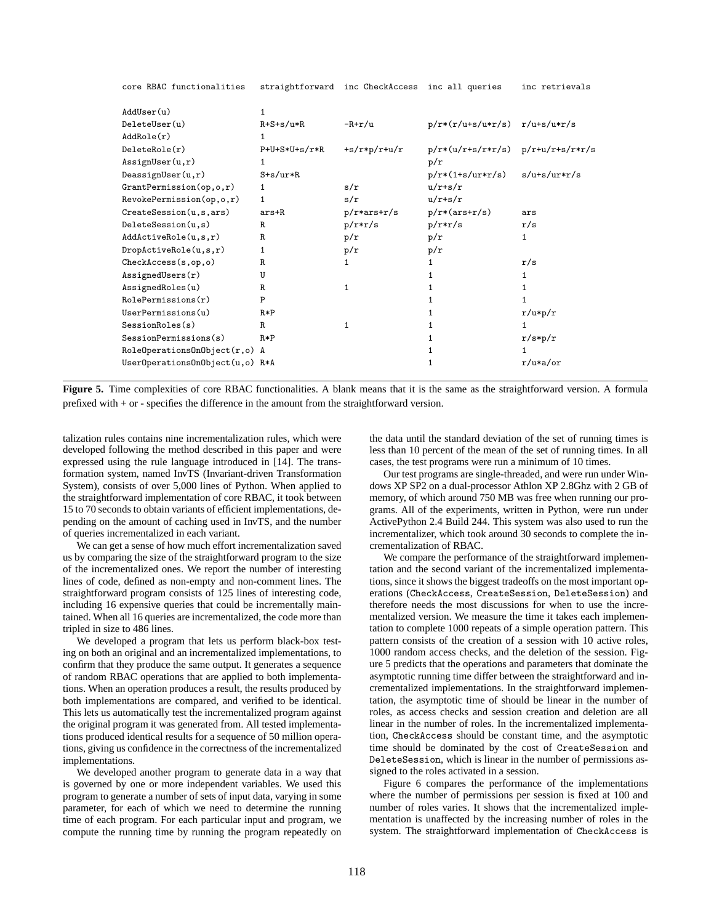| AddUser(u)                        | 1                   |                |                                       |              |
|-----------------------------------|---------------------|----------------|---------------------------------------|--------------|
| Deletelser(u)                     | $R + S + S / u * R$ | -R+r/u         | $p/r*(r/u+s/u*r/s)$ $r/u+s/u*r/s$     |              |
| AddRole(r)                        | 1                   |                |                                       |              |
| DeleteRole(r)                     | $P+U+S*U+s/r*R$     | $+s/r*p/r+u/r$ | $p/r*(u/r+s/r*r/s)$ $p/r+u/r+s/r*r/s$ |              |
| Assigma( u, r)                    | 1                   |                | p/r                                   |              |
| DeassignUser(u, r)                | $S+s/ur*R$          |                | $p/r*(1+s/urr*r/s)$                   | s/u+s/ur*r/s |
| $Gran$ t $Permission(op, o, r)$   | $\mathbf{1}$        | s/r            | $u/r+s/r$                             |              |
| $Revoler$ Permission $(op, o, r)$ | 1                   | s/r            | $u/r+s/r$                             |              |
| CreateSession(u, s,ars)           | ars+R               | $p/r*ars+r/s$  | $p/r*(ars+r/s)$                       | ars          |
| DeleteSession(u, s)               | R.                  | $p/r*r/s$      | $p/r*r/s$                             | r/s          |
| AddActiveRule(u,s,r)              | R.                  | p/r            | p/r                                   | 1            |
| DropActiveRule(u, s, r)           | 1                   | p/r            | p/r                                   |              |
| CheckAccess(s, op, o)             | R.                  | $\mathbf{1}$   | 1                                     | r/s          |
| AssignedUsers(r)                  | U                   |                |                                       | 1            |
| AssignedRoles(u)                  | R.                  | $\mathbf{1}$   |                                       |              |
| RolePermissions(r)                | P                   |                |                                       |              |
| UserPermissions(u)                | $R*P$               |                | 1.                                    | $r/u*p/r$    |
| SessionRobles(s)                  | R.                  | $\mathbf{1}$   | 1                                     | 1            |
| SessionPermissions(s)             | $R*P$               |                | 1                                     | $r/s*p/r$    |
| RoleOperationsOnObject(r,o) A     |                     |                |                                       |              |
| UserOperationsOnObject(u,o) R*A   |                     |                |                                       | $r/u*a$ or   |
|                                   |                     |                |                                       |              |

core RBAC functionalities straightforward inc CheckAccess inc all queries inc retrievals

Figure 5. Time complexities of core RBAC functionalities. A blank means that it is the same as the straightforward version. A formula prefixed with + or - specifies the difference in the amount from the straightforward version.

talization rules contains nine incrementalization rules, which were developed following the method described in this paper and were expressed using the rule language introduced in [14]. The transformation system, named InvTS (Invariant-driven Transformation System), consists of over 5,000 lines of Python. When applied to the straightforward implementation of core RBAC, it took between 15 to 70 seconds to obtain variants of efficient implementations, depending on the amount of caching used in InvTS, and the number of queries incrementalized in each variant.

We can get a sense of how much effort incrementalization saved us by comparing the size of the straightforward program to the size of the incrementalized ones. We report the number of interesting lines of code, defined as non-empty and non-comment lines. The straightforward program consists of 125 lines of interesting code, including 16 expensive queries that could be incrementally maintained. When all 16 queries are incrementalized, the code more than tripled in size to 486 lines.

We developed a program that lets us perform black-box testing on both an original and an incrementalized implementations, to confirm that they produce the same output. It generates a sequence of random RBAC operations that are applied to both implementations. When an operation produces a result, the results produced by both implementations are compared, and verified to be identical. This lets us automatically test the incrementalized program against the original program it was generated from. All tested implementations produced identical results for a sequence of 50 million operations, giving us confidence in the correctness of the incrementalized implementations.

We developed another program to generate data in a way that is governed by one or more independent variables. We used this program to generate a number of sets of input data, varying in some parameter, for each of which we need to determine the running time of each program. For each particular input and program, we compute the running time by running the program repeatedly on

the data until the standard deviation of the set of running times is less than 10 percent of the mean of the set of running times. In all cases, the test programs were run a minimum of 10 times.

Our test programs are single-threaded, and were run under Windows XP SP2 on a dual-processor Athlon XP 2.8Ghz with 2 GB of memory, of which around 750 MB was free when running our programs. All of the experiments, written in Python, were run under ActivePython 2.4 Build 244. This system was also used to run the incrementalizer, which took around 30 seconds to complete the incrementalization of RBAC.

We compare the performance of the straightforward implementation and the second variant of the incrementalized implementations, since it shows the biggest tradeoffs on the most important operations (CheckAccess, CreateSession, DeleteSession) and therefore needs the most discussions for when to use the incrementalized version. We measure the time it takes each implementation to complete 1000 repeats of a simple operation pattern. This pattern consists of the creation of a session with 10 active roles, 1000 random access checks, and the deletion of the session. Figure 5 predicts that the operations and parameters that dominate the asymptotic running time differ between the straightforward and incrementalized implementations. In the straightforward implementation, the asymptotic time of should be linear in the number of roles, as access checks and session creation and deletion are all linear in the number of roles. In the incrementalized implementation, CheckAccess should be constant time, and the asymptotic time should be dominated by the cost of CreateSession and DeleteSession, which is linear in the number of permissions assigned to the roles activated in a session.

Figure 6 compares the performance of the implementations where the number of permissions per session is fixed at 100 and number of roles varies. It shows that the incrementalized implementation is unaffected by the increasing number of roles in the system. The straightforward implementation of CheckAccess is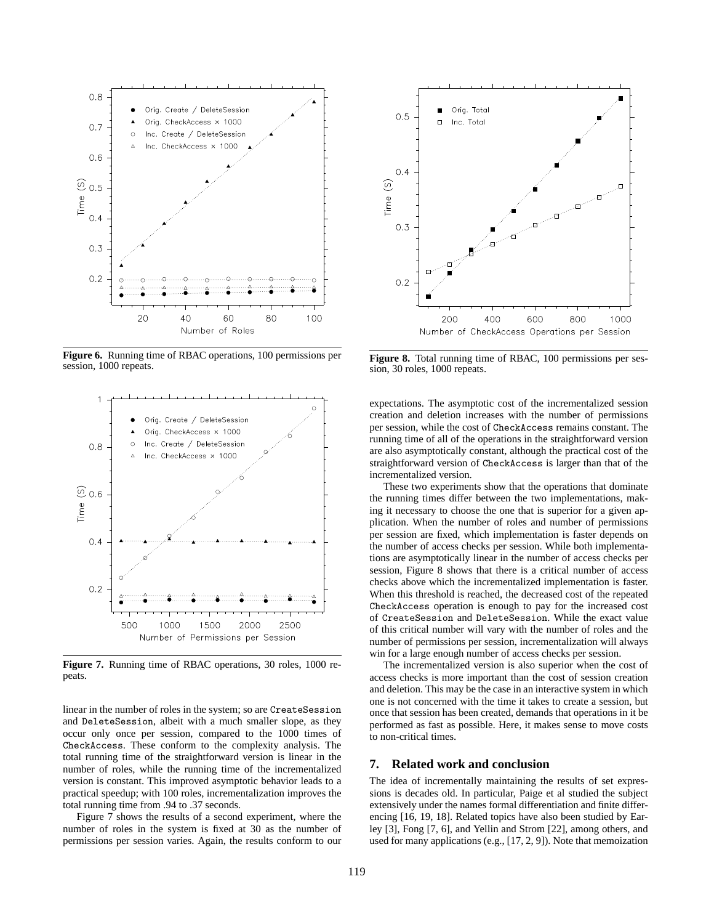

**Figure 6.** Running time of RBAC operations, 100 permissions per session, 1000 repeats.



**Figure 7.** Running time of RBAC operations, 30 roles, 1000 repeats.

linear in the number of roles in the system; so are CreateSession and DeleteSession, albeit with a much smaller slope, as they occur only once per session, compared to the 1000 times of CheckAccess. These conform to the complexity analysis. The total running time of the straightforward version is linear in the number of roles, while the running time of the incrementalized version is constant. This improved asymptotic behavior leads to a practical speedup; with 100 roles, incrementalization improves the total running time from .94 to .37 seconds.

Figure 7 shows the results of a second experiment, where the number of roles in the system is fixed at 30 as the number of permissions per session varies. Again, the results conform to our



**Figure 8.** Total running time of RBAC, 100 permissions per session, 30 roles, 1000 repeats.

expectations. The asymptotic cost of the incrementalized session creation and deletion increases with the number of permissions per session, while the cost of CheckAccess remains constant. The running time of all of the operations in the straightforward version are also asymptotically constant, although the practical cost of the straightforward version of CheckAccess is larger than that of the incrementalized version.

These two experiments show that the operations that dominate the running times differ between the two implementations, making it necessary to choose the one that is superior for a given application. When the number of roles and number of permissions per session are fixed, which implementation is faster depends on the number of access checks per session. While both implementations are asymptotically linear in the number of access checks per session, Figure 8 shows that there is a critical number of access checks above which the incrementalized implementation is faster. When this threshold is reached, the decreased cost of the repeated CheckAccess operation is enough to pay for the increased cost of CreateSession and DeleteSession. While the exact value of this critical number will vary with the number of roles and the number of permissions per session, incrementalization will always win for a large enough number of access checks per session.

The incrementalized version is also superior when the cost of access checks is more important than the cost of session creation and deletion. This may be the case in an interactive system in which one is not concerned with the time it takes to create a session, but once that session has been created, demands that operations in it be performed as fast as possible. Here, it makes sense to move costs to non-critical times.

### **7. Related work and conclusion**

The idea of incrementally maintaining the results of set expressions is decades old. In particular, Paige et al studied the subject extensively under the names formal differentiation and finite differencing [16, 19, 18]. Related topics have also been studied by Earley [3], Fong [7, 6], and Yellin and Strom [22], among others, and used for many applications (e.g., [17, 2, 9]). Note that memoization